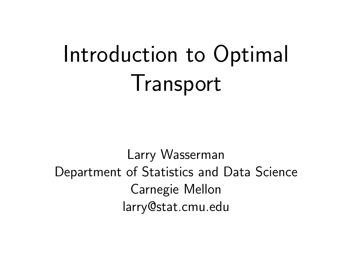# Introduction to Optimal **Transport**

Larry Wasserman Department of Statistics and Data Science Carnegie Mellon larry@stat.cmu.edu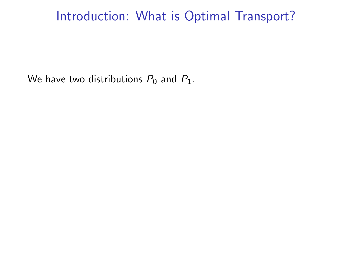## Introduction: What is Optimal Transport?

We have two distributions  $P_0$  and  $P_1$ .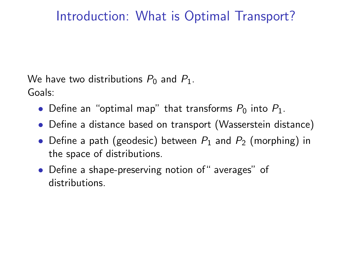## Introduction: What is Optimal Transport?

We have two distributions  $P_0$  and  $P_1$ . Goals:

- Define an "optimal map" that transforms  $P_0$  into  $P_1$ .
- Define a distance based on transport (Wasserstein distance)
- Define a path (geodesic) between  $P_1$  and  $P_2$  (morphing) in the space of distributions.
- Define a shape-preserving notion of "averages" of distributions.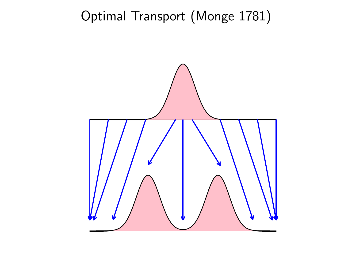## Optimal Transport (Monge 1781)

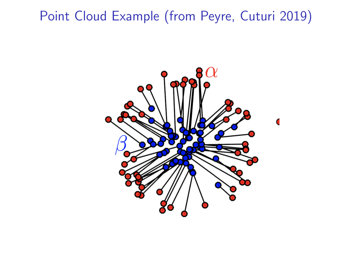## Point Cloud Example (from Peyre, Cuturi 2019)

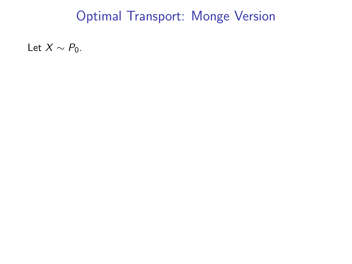Let  $X \sim P_0$ .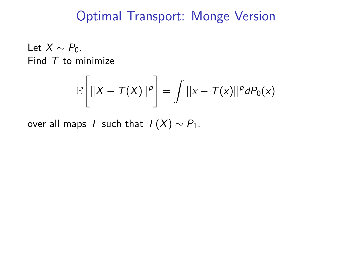Let  $X \sim P_0$ . Find  $T$  to minimize

$$
\mathbb{E}\left[||X-\mathcal{T}(X)||^p\right]=\int ||x-\mathcal{T}(x)||^p dP_0(x)
$$

over all maps T such that  $T(X) \sim P_1$ .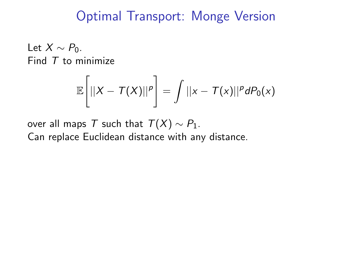Let  $X \sim P_0$ . Find  $T$  to minimize

$$
\mathbb{E}\left[||X-\mathcal{T}(X)||^p\right]=\int ||x-\mathcal{T}(x)||^p dP_0(x)
$$

over all maps T such that  $T(X) \sim P_1$ . Can replace Euclidean distance with any distance.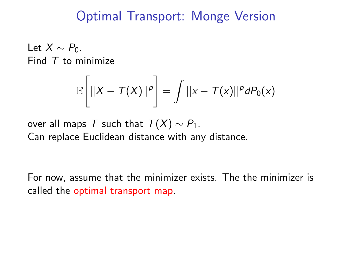Let  $X \sim P_0$ . Find  $T$  to minimize

$$
\mathbb{E}\left[||X-\mathcal{T}(X)||^p\right]=\int ||x-\mathcal{T}(x)||^p dP_0(x)
$$

over all maps T such that  $T(X) \sim P_1$ . Can replace Euclidean distance with any distance.

For now, assume that the minimizer exists. The the minimizer is called the optimal transport map.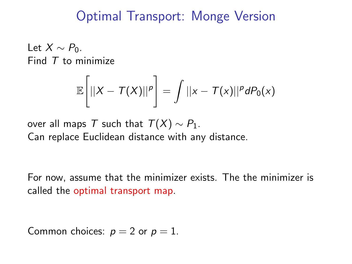Let  $X \sim P_0$ . Find  $T$  to minimize

$$
\mathbb{E}\left[||X-\mathcal{T}(X)||^p\right]=\int ||x-\mathcal{T}(x)||^p dP_0(x)
$$

over all maps T such that  $T(X) \sim P_1$ . Can replace Euclidean distance with any distance.

For now, assume that the minimizer exists. The the minimizer is called the optimal transport map.

Common choices:  $p = 2$  or  $p = 1$ .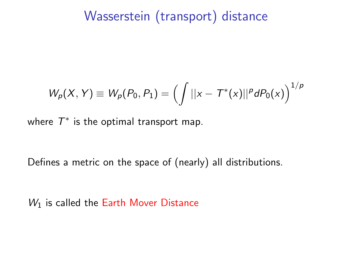#### Wasserstein (transport) distance

$$
W_p(X, Y) \equiv W_p(P_0, P_1) = \left( \int ||x - T^*(x)||^p dP_0(x) \right)^{1/p}
$$

where  $\mathcal{T}^*$  is the optimal transport map.

Defines a metric on the space of (nearly) all distributions.

 $W_1$  is called the Earth Mover Distance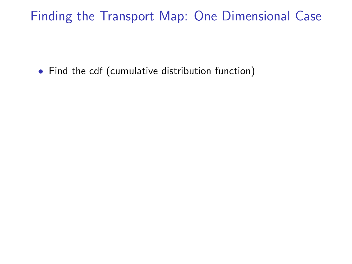• Find the cdf (cumulative distribution function)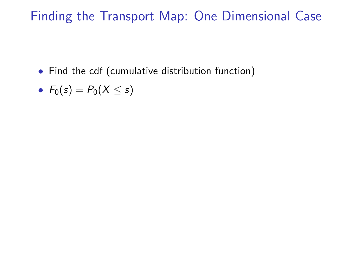- Find the cdf (cumulative distribution function)
- $F_0(s) = P_0(X \le s)$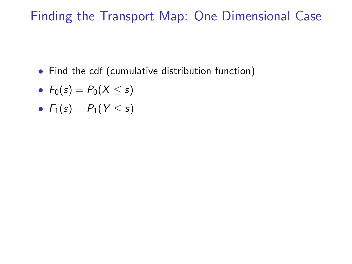- Find the cdf (cumulative distribution function)
- $F_0(s) = P_0(X \le s)$
- $F_1(s) = P_1(Y \le s)$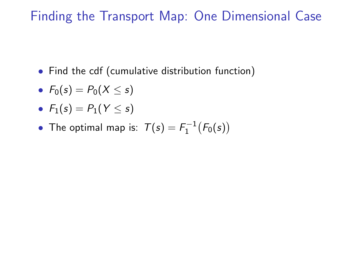- Find the cdf (cumulative distribution function)
- $F_0(s) = P_0(X \le s)$
- $F_1(s) = P_1(Y \le s)$
- The optimal map is:  $T(s) = F_1^{-1}(F_0(s))$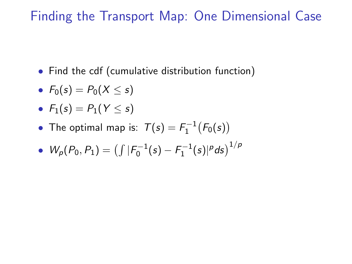- Find the cdf (cumulative distribution function)
- $F_0(s) = P_0(X \leq s)$
- $F_1(s) = P_1(Y \le s)$
- The optimal map is:  $T(s) = F_1^{-1}(F_0(s))$
- $W_p(P_0, P_1) = (\int |F_0^{-1}(s) F_1^{-1}(s)|^p ds)^{1/p}$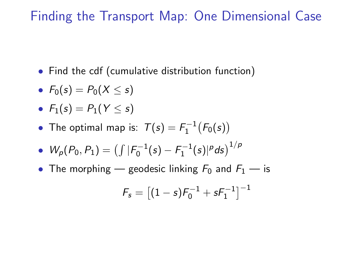- Find the cdf (cumulative distribution function)
- $F_0(s) = P_0(X \leq s)$
- $F_1(s) = P_1(Y \le s)$
- The optimal map is:  $T(s) = F_1^{-1}(F_0(s))$
- $W_p(P_0, P_1) = (\int |F_0^{-1}(s) F_1^{-1}(s)|^p ds)^{1/p}$
- The morphing geodesic linking  $F_0$  and  $F_1$  is

$$
F_s = \left[ (1-s)F_0^{-1} + sF_1^{-1} \right]^{-1}
$$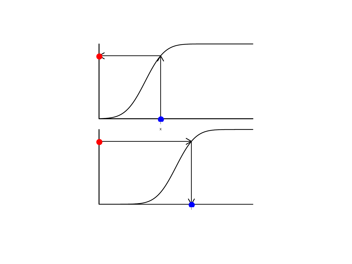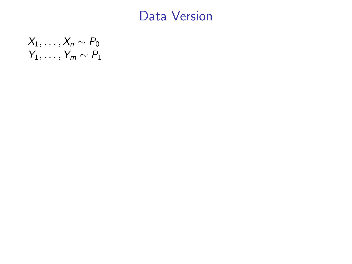$X_1, \ldots, X_n \sim P_0$  $Y_1, \ldots, Y_m \sim P_1$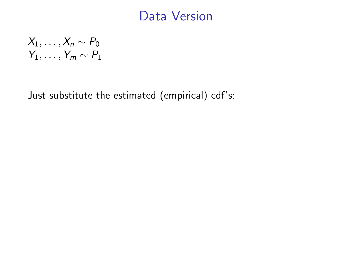$$
X_1, \ldots, X_n \sim P_0
$$
  
 
$$
Y_1, \ldots, Y_m \sim P_1
$$

Just substitute the estimated (empirical) cdf's: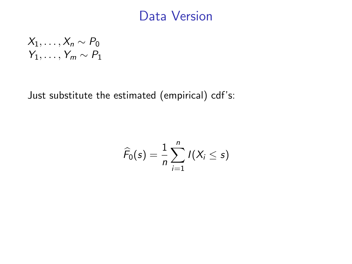$$
X_1, \ldots, X_n \sim P_0
$$
  
 
$$
Y_1, \ldots, Y_m \sim P_1
$$

Just substitute the estimated (empirical) cdf's:

$$
\widehat{F}_0(s) = \frac{1}{n} \sum_{i=1}^n I(X_i \leq s)
$$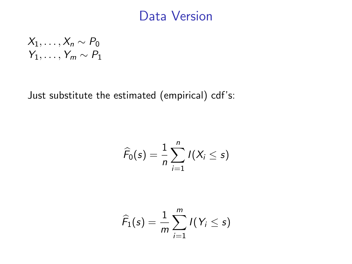$$
X_1, \ldots, X_n \sim P_0
$$
  

$$
Y_1, \ldots, Y_m \sim P_1
$$

Just substitute the estimated (empirical) cdf's:

$$
\widehat{F}_0(s)=\frac{1}{n}\sum_{i=1}^n I(X_i\leq s)
$$

$$
\widehat{F}_1(s) = \frac{1}{m} \sum_{i=1}^m I(Y_i \leq s)
$$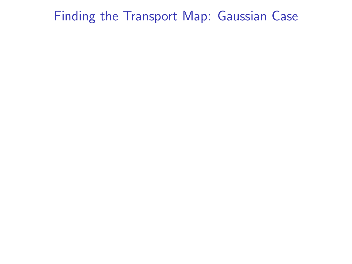- 
- 
- 
- 
- 
-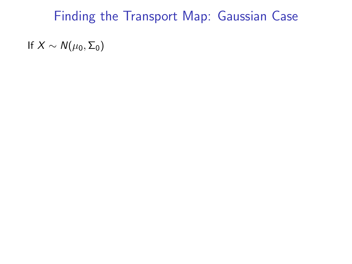If  $X \sim N(\mu_0, \Sigma_0)$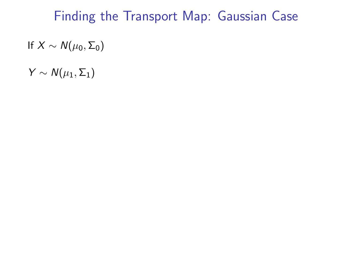If  $X \sim N(\mu_0, \Sigma_0)$ 

 $Y \sim N(\mu_1, \Sigma_1)$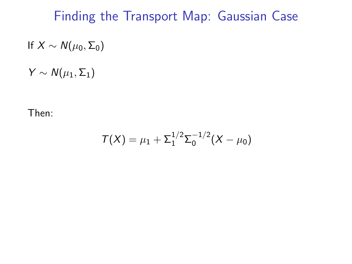If  $X \sim N(\mu_0, \Sigma_0)$ 

 $Y \sim N(\mu_1, \Sigma_1)$ 

Then:

$$
T(X) = \mu_1 + \Sigma_1^{1/2} \Sigma_0^{-1/2} (X - \mu_0)
$$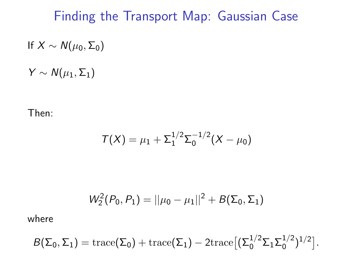If  $X \sim N(\mu_0, \Sigma_0)$ 

 $Y \sim N(\mu_1, \Sigma_1)$ 

Then:

$$
T(X) = \mu_1 + \Sigma_1^{1/2} \Sigma_0^{-1/2} (X - \mu_0)
$$

$$
W_2^2(P_0, P_1) = ||\mu_0 - \mu_1||^2 + B(\Sigma_0, \Sigma_1)
$$

where

$$
B(\Sigma_0, \Sigma_1) = \operatorname{trace}(\Sigma_0) + \operatorname{trace}(\Sigma_1) - 2 \operatorname{trace}[(\Sigma_0^{1/2} \Sigma_1 \Sigma_0^{1/2})^{1/2}].
$$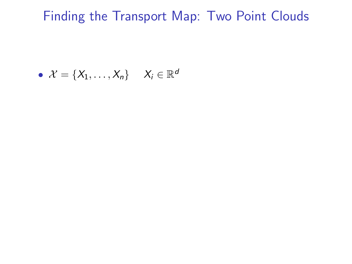• 
$$
\mathcal{X} = \{X_1, \ldots, X_n\}
$$
  $X_i \in \mathbb{R}^d$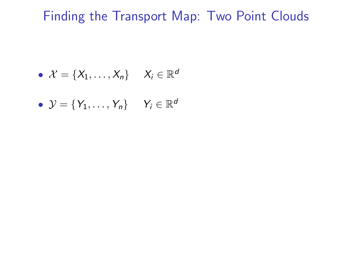• 
$$
\mathcal{X} = \{X_1, \ldots, X_n\}
$$
  $X_i \in \mathbb{R}^d$ 

• 
$$
\mathcal{Y} = \{Y_1, \ldots, Y_n\}
$$
  $Y_i \in \mathbb{R}^d$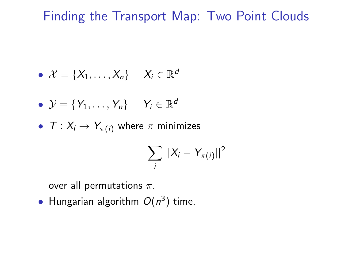• 
$$
\mathcal{X} = \{X_1, \ldots, X_n\}
$$
  $X_i \in \mathbb{R}^d$ 

• 
$$
\mathcal{Y} = \{Y_1, \ldots, Y_n\}
$$
  $Y_i \in \mathbb{R}^d$ 

•  $T: X_i \to Y_{\pi(i)}$  where  $\pi$  minimizes

$$
\sum_i ||X_i - Y_{\pi(i)}||^2
$$

over all permutations  $\pi$ .

• Hungarian algorithm  $O(n^3)$  time.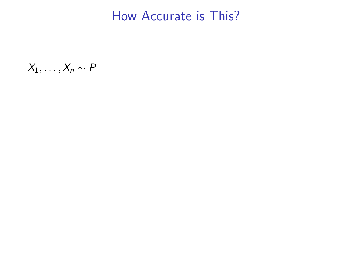$X_1, \ldots, X_n \sim P$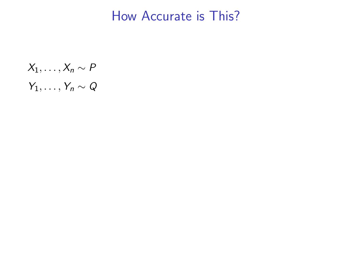$X_1, \ldots, X_n \sim P$  $Y_1, \ldots, Y_n \sim Q$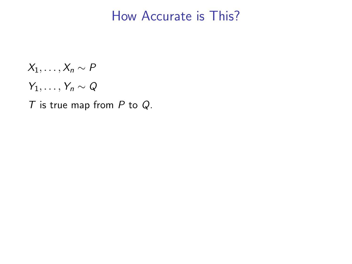$$
X_1, \ldots, X_n \sim P
$$

$$
Y_1, \ldots, Y_n \sim Q
$$

 $T$  is true map from  $P$  to  $Q$ .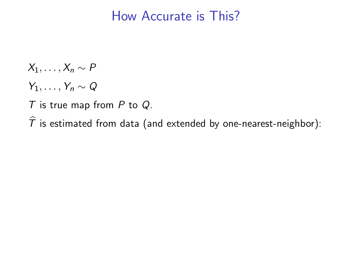- $X_1, \ldots, X_n \sim P$
- $Y_1, \ldots, Y_n \sim Q$
- $T$  is true map from  $P$  to  $Q$ .
- $\widehat{T}$  is estimated from data (and extended by one-nearest-neighbor):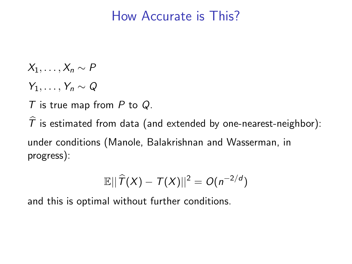$X_1, \ldots, X_n \sim P$  $Y_1, \ldots, Y_n \sim Q$ 

 $T$  is true map from  $P$  to  $Q$ .  $\widehat{T}$  is estimated from data (and extended by one-nearest-neighbor):

under conditions (Manole, Balakrishnan and Wasserman, in progress):

$$
\mathbb{E}||\widehat{T}(X)-T(X)||^2=O(n^{-2/d})
$$

and this is optimal without further conditions.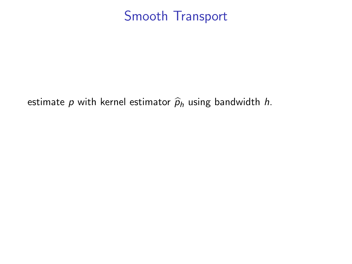estimate p with kernel estimator  $\hat{p}_h$  using bandwidth h.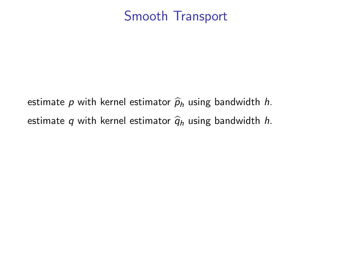estimate p with kernel estimator  $\hat{p}_h$  using bandwidth h. estimate q with kernel estimator  $\hat{q}_b$  using bandwidth h.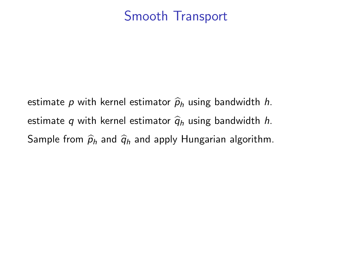estimate p with kernel estimator  $\hat{p}_h$  using bandwidth h. estimate q with kernel estimator  $\hat{q}_h$  using bandwidth h. Sample from  $\hat{p}_h$  and  $\hat{q}_h$  and apply Hungarian algorithm.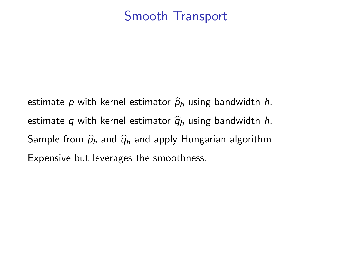estimate p with kernel estimator  $\hat{p}_h$  using bandwidth h. estimate q with kernel estimator  $\hat{q}_h$  using bandwidth h. Sample from  $\hat{p}_h$  and  $\hat{q}_h$  and apply Hungarian algorithm. Expensive but leverages the smoothness.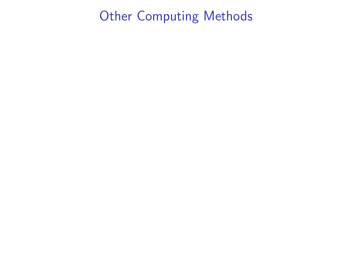### Other Computing Methods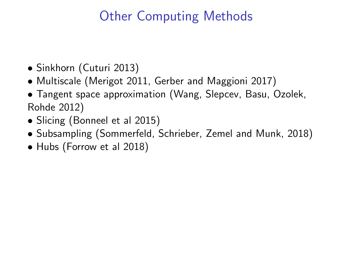## Other Computing Methods

- Sinkhorn (Cuturi 2013)
- Multiscale (Merigot 2011, Gerber and Maggioni 2017)
- Tangent space approximation (Wang, Slepcev, Basu, Ozolek, Rohde 2012)
- Slicing (Bonneel et al 2015)
- Subsampling (Sommerfeld, Schrieber, Zemel and Munk, 2018)
- Hubs (Forrow et al 2018)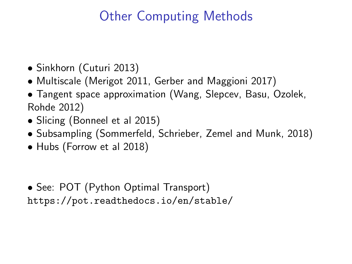## Other Computing Methods

- Sinkhorn (Cuturi 2013)
- Multiscale (Merigot 2011, Gerber and Maggioni 2017)
- Tangent space approximation (Wang, Slepcev, Basu, Ozolek, Rohde 2012)
- Slicing (Bonneel et al 2015)
- Subsampling (Sommerfeld, Schrieber, Zemel and Munk, 2018)
- Hubs (Forrow et al 2018)

• See: POT (Python Optimal Transport) <https://pot.readthedocs.io/en/stable/>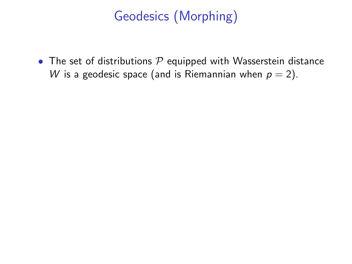• The set of distributions  $P$  equipped with Wasserstein distance W is a geodesic space (and is Riemannian when  $p = 2$ ).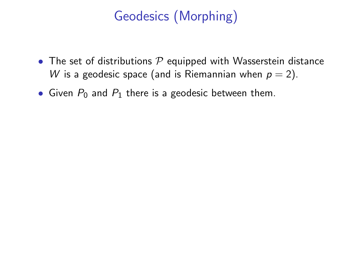- The set of distributions  $P$  equipped with Wasserstein distance W is a geodesic space (and is Riemannian when  $p = 2$ ).
- Given  $P_0$  and  $P_1$  there is a geodesic between them.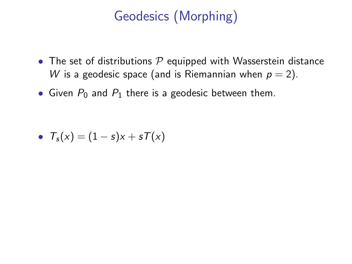- The set of distributions  $P$  equipped with Wasserstein distance W is a geodesic space (and is Riemannian when  $p = 2$ ).
- Given  $P_0$  and  $P_1$  there is a geodesic between them.

• 
$$
T_s(x) = (1-s)x + sT(x)
$$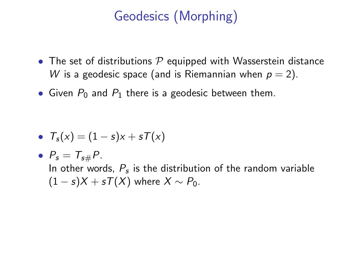- The set of distributions  $P$  equipped with Wasserstein distance W is a geodesic space (and is Riemannian when  $p = 2$ ).
- Given  $P_0$  and  $P_1$  there is a geodesic between them.

• 
$$
T_s(x) = (1-s)x + sT(x)
$$

•  $P_s = T_{s \#} P$ .

In other words,  $P_s$  is the distribution of the random variable  $(1 - s)X + sT(X)$  where  $X \sim P_0$ .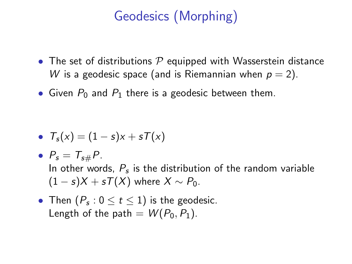- The set of distributions  $P$  equipped with Wasserstein distance W is a geodesic space (and is Riemannian when  $p = 2$ ).
- Given  $P_0$  and  $P_1$  there is a geodesic between them.

• 
$$
T_s(x) = (1-s)x + sT(x)
$$

- $P_s = T_{s \#} P$ . In other words,  $P_s$  is the distribution of the random variable  $(1 - s)X + sT(X)$  where  $X \sim P_0$ .
- Then  $(P_s: 0 \leq t \leq 1)$  is the geodesic. Length of the path  $= W(P_0, P_1)$ .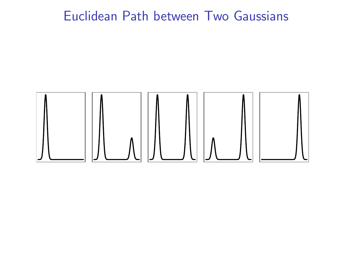## Euclidean Path between Two Gaussians

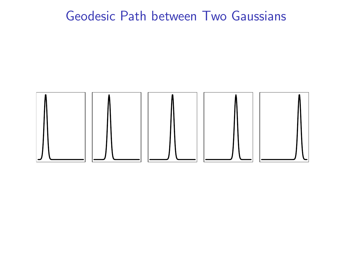#### Geodesic Path between Two Gaussians

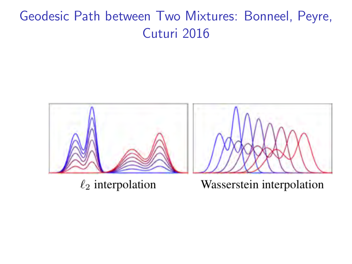# Geodesic Path between Two Mixtures: Bonneel, Peyre, Cuturi 2016

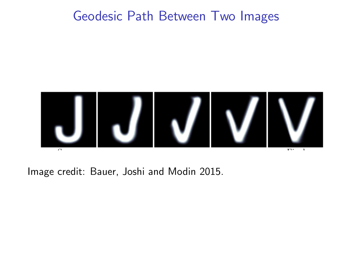#### Geodesic Path Between Two Images



Image credit: Bauer, Joshi and Modin 2015.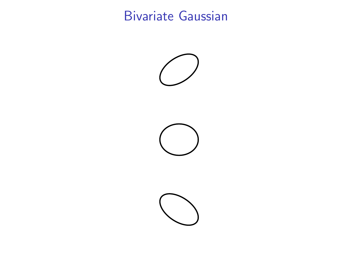Bivariate Gaussian





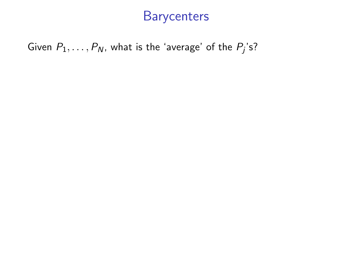Given  $P_1, \ldots, P_N$ , what is the 'average' of the  $P_j$ 's?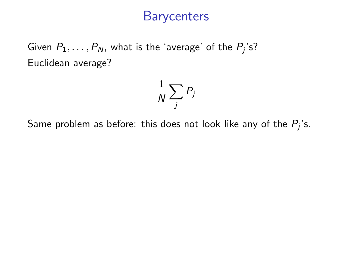Given  $P_1, \ldots, P_N$ , what is the 'average' of the  $P_j$ 's? Euclidean average?

$$
\frac{1}{N}\sum_j P_j
$$

Same problem as before: this does not look like any of the  $P_j$ 's.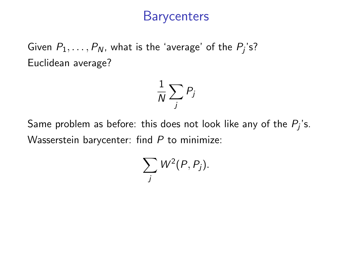Given  $P_1, \ldots, P_N$ , what is the 'average' of the  $P_j$ 's? Euclidean average?

$$
\frac{1}{N}\sum_j P_j
$$

Same problem as before: this does not look like any of the  $P_j$ 's. Wasserstein barycenter: find  $P$  to minimize:

$$
\sum_j W^2(P,P_j).
$$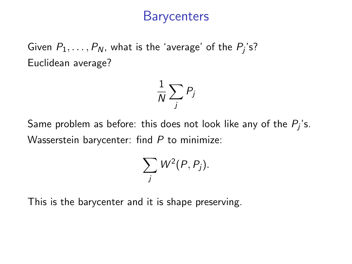Given  $P_1, \ldots, P_N$ , what is the 'average' of the  $P_j$ 's? Euclidean average?

$$
\frac{1}{N}\sum_j P_j
$$

Same problem as before: this does not look like any of the  $P_j$ 's. Wasserstein barycenter: find  $P$  to minimize:

$$
\sum_j W^2(P,P_j).
$$

This is the barycenter and it is shape preserving.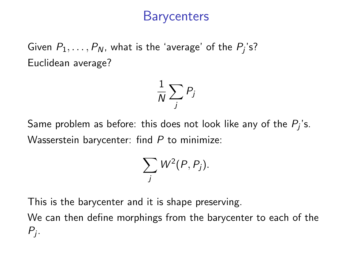Given  $P_1, \ldots, P_N$ , what is the 'average' of the  $P_j$ 's? Euclidean average?

$$
\frac{1}{N}\sum_j P_j
$$

Same problem as before: this does not look like any of the  $P_j$ 's. Wasserstein barycenter: find  $P$  to minimize:

$$
\sum_j W^2(P,P_j).
$$

This is the barycenter and it is shape preserving.

We can then define morphings from the barycenter to each of the  $P_j$ .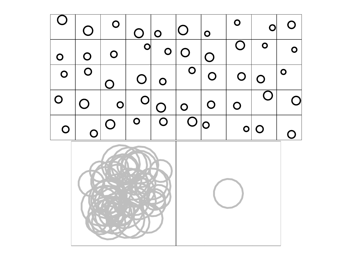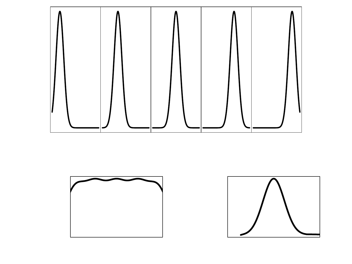



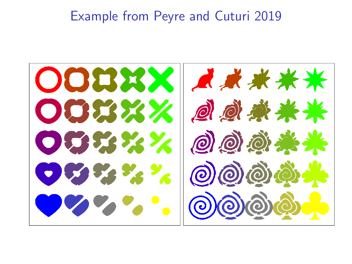### Example from Peyre and Cuturi 2019

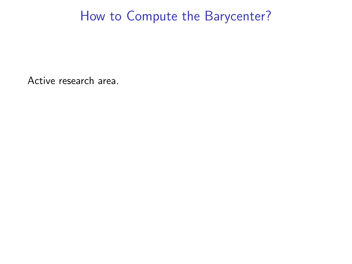Active research area.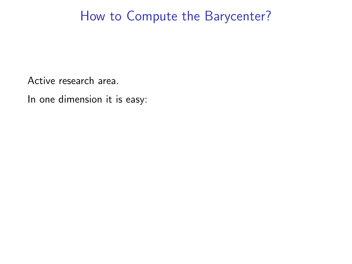Active research area.

In one dimension it is easy: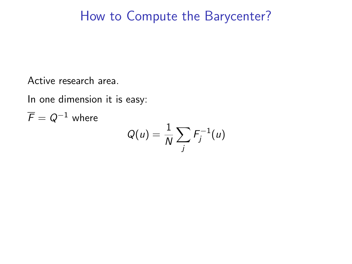Active research area.

In one dimension it is easy:

 $\overline{F} = Q^{-1}$  where

$$
Q(u) = \frac{1}{N} \sum_j F_j^{-1}(u)
$$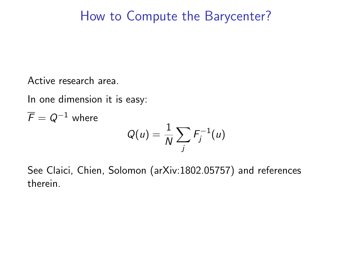Active research area.

In one dimension it is easy:

 $\overline{F} = Q^{-1}$  where

$$
Q(u) = \frac{1}{N} \sum_j F_j^{-1}(u)
$$

See Claici, Chien, Solomon (arXiv:1802.05757) and references therein.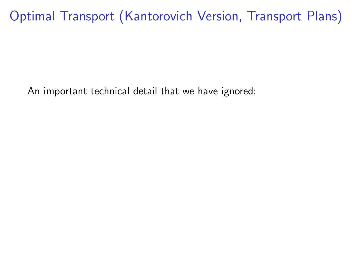Optimal Transport (Kantorovich Version, Transport Plans)

An important technical detail that we have ignored: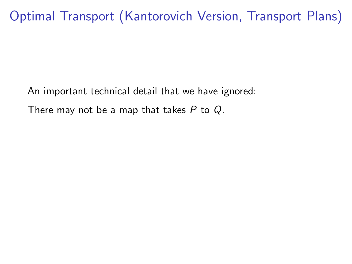Optimal Transport (Kantorovich Version, Transport Plans)

An important technical detail that we have ignored:

There may not be a map that takes  $P$  to  $Q$ .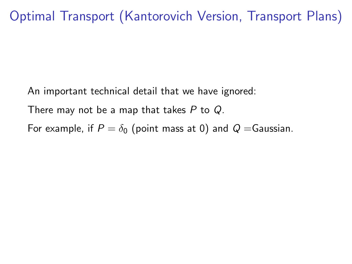Optimal Transport (Kantorovich Version, Transport Plans)

An important technical detail that we have ignored:

There may not be a map that takes  $P$  to  $Q$ .

For example, if  $P = \delta_0$  (point mass at 0) and  $Q =$ Gaussian.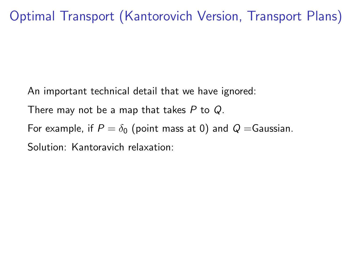An important technical detail that we have ignored:

There may not be a map that takes  $P$  to  $Q$ .

For example, if  $P = \delta_0$  (point mass at 0) and Q = Gaussian.

Solution: Kantoravich relaxation: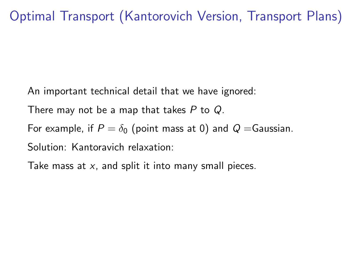An important technical detail that we have ignored:

There may not be a map that takes  $P$  to  $Q$ .

For example, if  $P = \delta_0$  (point mass at 0) and  $Q =$ Gaussian.

Solution: Kantoravich relaxation:

Take mass at  $x$ , and split it into many small pieces.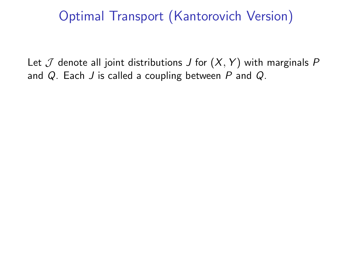## Optimal Transport (Kantorovich Version)

Let  $J$  denote all joint distributions  $J$  for  $(X, Y)$  with marginals  $P$ and  $Q$ . Each  $J$  is called a coupling between  $P$  and  $Q$ .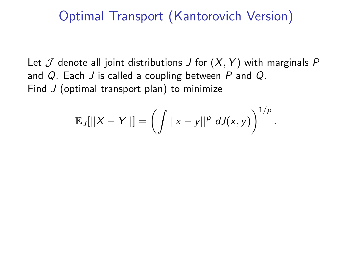# Optimal Transport (Kantorovich Version)

Let  $\mathcal J$  denote all joint distributions  $J$  for  $(X, Y)$  with marginals P and  $Q$ . Each  $J$  is called a coupling between  $P$  and  $Q$ . Find J (optimal transport plan) to minimize

$$
\mathbb{E}_J[||X - Y||] = \left( \int ||x - y||^p \ dJ(x, y) \right)^{1/p}
$$

.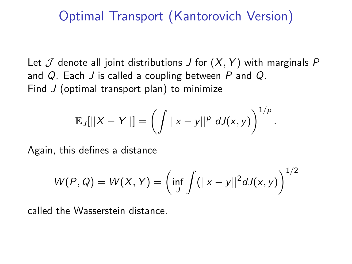# Optimal Transport (Kantorovich Version)

Let  $\mathcal J$  denote all joint distributions  $J$  for  $(X, Y)$  with marginals P and  $Q$ . Each J is called a coupling between  $P$  and  $Q$ . Find J (optimal transport plan) to minimize

$$
\mathbb{E}_J[||X - Y||] = \left( \int ||x - y||^p \ dJ(x, y) \right)^{1/p}
$$

.

Again, this defines a distance

$$
W(P, Q) = W(X, Y) = \left( \inf_{J} \int (||x - y||^2 dJ(x, y)) \right)^{1/2}
$$

called the Wasserstein distance.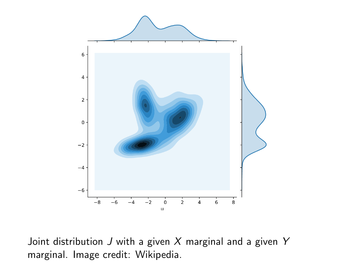

Joint distribution  $J$  with a given  $X$  marginal and a given  $Y$ marginal. Image credit: Wikipedia.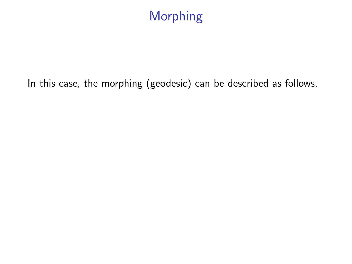In this case, the morphing (geodesic) can be described as follows.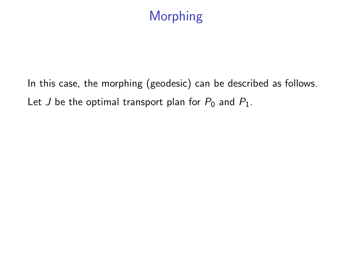In this case, the morphing (geodesic) can be described as follows. Let J be the optimal transport plan for  $P_0$  and  $P_1$ .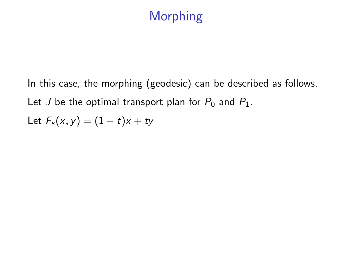In this case, the morphing (geodesic) can be described as follows. Let J be the optimal transport plan for  $P_0$  and  $P_1$ . Let  $F_s(x, y) = (1 - t)x + ty$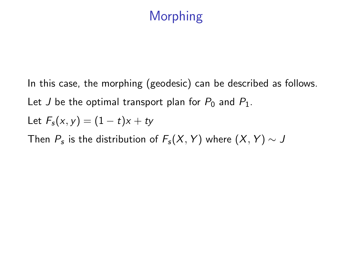In this case, the morphing (geodesic) can be described as follows. Let J be the optimal transport plan for  $P_0$  and  $P_1$ . Let  $F_s(x, y) = (1 - t)x + ty$ 

Then  $P_{\bar{{\mathsf{s}}}}$  is the distribution of  $F_{\bar{{\mathsf{s}}}}(X,Y)$  where  $(X,Y)$   $\sim$  J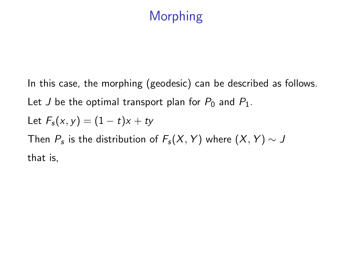In this case, the morphing (geodesic) can be described as follows. Let J be the optimal transport plan for  $P_0$  and  $P_1$ . Let  $F_s(x, y) = (1 - t)x + ty$ Then  $P_{\bar{{\mathsf{s}}}}$  is the distribution of  $F_{\bar{{\mathsf{s}}}}(X,Y)$  where  $(X,Y)$   $\sim$  J

that is,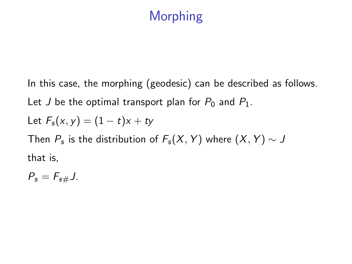In this case, the morphing (geodesic) can be described as follows. Let J be the optimal transport plan for  $P_0$  and  $P_1$ . Let  $F_s(x, y) = (1 - t)x + tv$ Then  $P_{\bar{{\mathsf{s}}}}$  is the distribution of  $F_{\bar{{\mathsf{s}}}}(X,Y)$  where  $(X,Y)$   $\sim$  J

that is,

 $P_s = F_{s\#}J$ .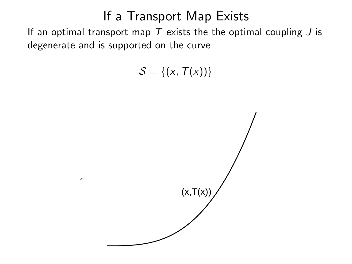# If a Transport Map Exists

If an optimal transport map  $T$  exists the the optimal coupling  $J$  is degenerate and is supported on the curve

$$
\mathcal{S} = \{ (x, T(x)) \}
$$



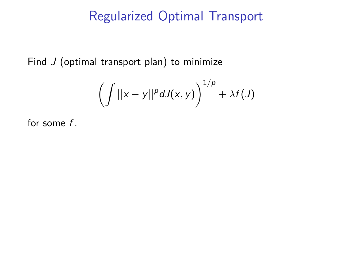Find J (optimal transport plan) to minimize

$$
\left(\int ||x-y||^p dJ(x,y)\right)^{1/p} + \lambda f(J)
$$

for some  $f$ .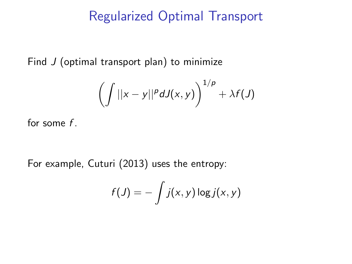Find *J* (optimal transport plan) to minimize

$$
\left(\int ||x-y||^p dJ(x,y)\right)^{1/p} + \lambda f(J)
$$

for some  $f$ .

For example, Cuturi (2013) uses the entropy:

$$
f(J) = -\int j(x, y) \log j(x, y)
$$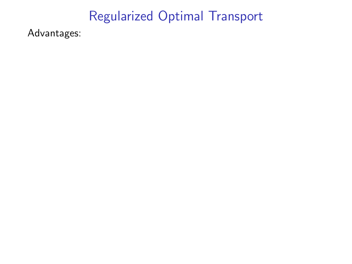Advantages: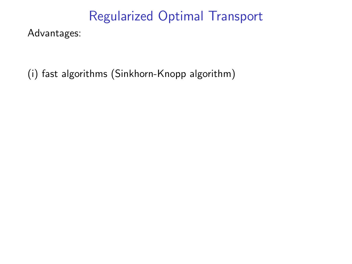Advantages:

(i) fast algorithms (Sinkhorn-Knopp algorithm)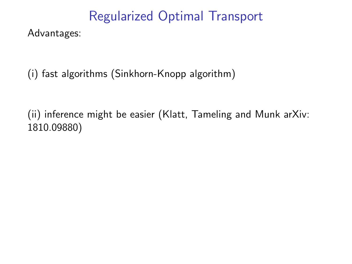Advantages:

(i) fast algorithms (Sinkhorn-Knopp algorithm)

(ii) inference might be easier (Klatt, Tameling and Munk arXiv: 1810.09880)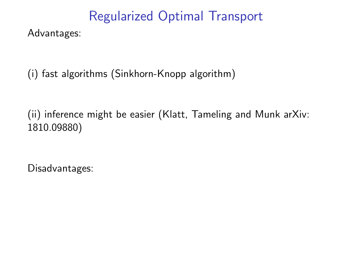Advantages:

(i) fast algorithms (Sinkhorn-Knopp algorithm)

(ii) inference might be easier (Klatt, Tameling and Munk arXiv: 1810.09880)

Disadvantages: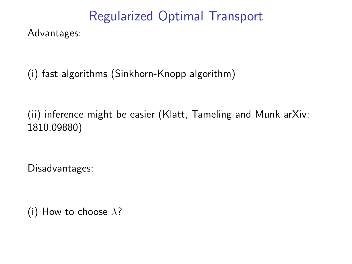Advantages:

(i) fast algorithms (Sinkhorn-Knopp algorithm)

(ii) inference might be easier (Klatt, Tameling and Munk arXiv: 1810.09880)

Disadvantages:

(i) How to choose  $\lambda$ ?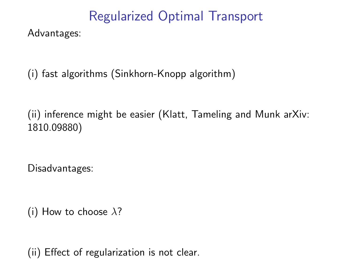Advantages:

(i) fast algorithms (Sinkhorn-Knopp algorithm)

(ii) inference might be easier (Klatt, Tameling and Munk arXiv: 1810.09880)

Disadvantages:

(i) How to choose  $\lambda$ ?

(ii) Effect of regularization is not clear.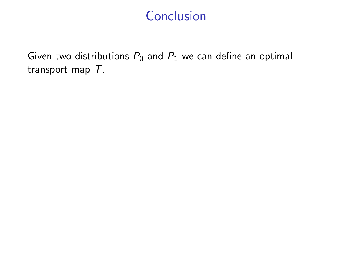Given two distributions  $P_0$  and  $P_1$  we can define an optimal transport map T.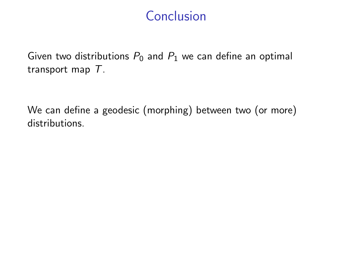Given two distributions  $P_0$  and  $P_1$  we can define an optimal transport map T.

We can define a geodesic (morphing) between two (or more) distributions.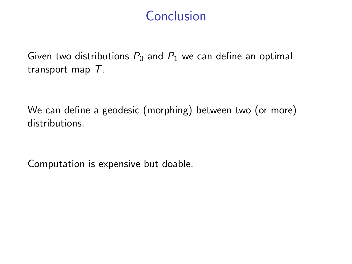Given two distributions  $P_0$  and  $P_1$  we can define an optimal transport map T.

We can define a geodesic (morphing) between two (or more) distributions.

Computation is expensive but doable.